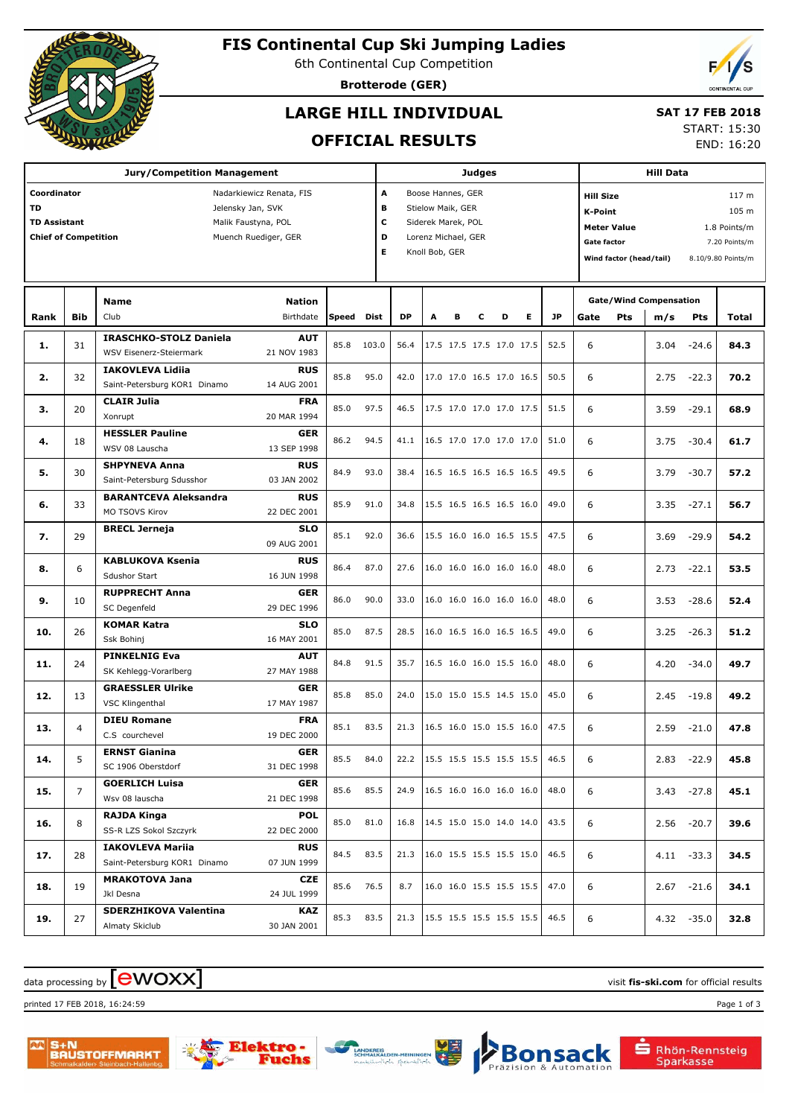

## **FIS Continental Cup Ski Jumping Ladies**

6th Continental Cup Competition

**Brotterode (GER)**

### **LARGE HILL INDIVIDUAL**

# **SAT 17 FEB 2018**

**OFFICIAL RESULTS**

START: 15:30 END: 16:20

| <b>Jury/Competition Management</b>                                                                                                                                             |                |                                                                 |                            |           |       |                                                                                                                                | <b>Judges</b> |   |   |                          |   |                                                                                                                          |      | <b>Hill Data</b> |                                                            |               |       |  |
|--------------------------------------------------------------------------------------------------------------------------------------------------------------------------------|----------------|-----------------------------------------------------------------|----------------------------|-----------|-------|--------------------------------------------------------------------------------------------------------------------------------|---------------|---|---|--------------------------|---|--------------------------------------------------------------------------------------------------------------------------|------|------------------|------------------------------------------------------------|---------------|-------|--|
| Coordinator<br>Nadarkiewicz Renata, FIS<br><b>TD</b><br>Jelensky Jan, SVK<br><b>TD Assistant</b><br>Malik Faustyna, POL<br><b>Chief of Competition</b><br>Muench Ruediger, GER |                |                                                                 |                            |           |       | A<br>Boose Hannes, GER<br>в<br>Stielow Maik, GER<br>c<br>Siderek Marek, POL<br>D<br>Lorenz Michael, GER<br>Е<br>Knoll Bob, GER |               |   |   |                          |   | <b>Hill Size</b><br>K-Point<br><b>Meter Value</b><br><b>Gate factor</b><br>Wind factor (head/tail)<br>8.10/9.80 Points/m |      |                  | 117 <sub>m</sub><br>105 m<br>1.8 Points/m<br>7.20 Points/m |               |       |  |
| Rank                                                                                                                                                                           | <b>Bib</b>     | Name<br>Club                                                    | <b>Nation</b><br>Birthdate | Speed     | Dist  | <b>DP</b>                                                                                                                      | A             | в | с | D                        | Е | JP.                                                                                                                      | Gate | Pts              | <b>Gate/Wind Compensation</b><br>m/s                       | Pts           | Total |  |
| 1.                                                                                                                                                                             | 31             | <b>IRASCHKO-STOLZ Daniela</b><br><b>WSV Eisenerz-Steiermark</b> | <b>AUT</b><br>21 NOV 1983  | 85.8      | 103.0 | 56.4                                                                                                                           |               |   |   | 17.5 17.5 17.5 17.0 17.5 |   | 52.5                                                                                                                     | 6    |                  | 3.04                                                       | $-24.6$       | 84.3  |  |
| 2.                                                                                                                                                                             | 32             | <b>IAKOVLEVA Lidija</b><br>Saint-Petersburg KOR1 Dinamo         | <b>RUS</b><br>14 AUG 2001  | 85.8      | 95.0  | 42.0                                                                                                                           |               |   |   | 17.0 17.0 16.5 17.0 16.5 |   | 50.5                                                                                                                     | 6    |                  | 2.75                                                       | $-22.3$       | 70.2  |  |
| з.                                                                                                                                                                             | 20             | <b>CLAIR Julia</b><br>Xonrupt                                   | <b>FRA</b><br>20 MAR 1994  | 85.0      | 97.5  | 46.5                                                                                                                           |               |   |   | 17.5 17.0 17.0 17.0 17.5 |   | 51.5                                                                                                                     | 6    |                  | 3.59                                                       | $-29.1$       | 68.9  |  |
| 4.                                                                                                                                                                             | 18             | <b>HESSLER Pauline</b><br>WSV 08 Lauscha                        | <b>GER</b><br>13 SEP 1998  | 86.2      | 94.5  | 41.1                                                                                                                           |               |   |   | 16.5 17.0 17.0 17.0 17.0 |   | 51.0                                                                                                                     | 6    |                  | 3.75                                                       | $-30.4$       | 61.7  |  |
| 5.                                                                                                                                                                             | 30             | <b>SHPYNEVA Anna</b><br>Saint-Petersburg Sdusshor               | <b>RUS</b><br>03 JAN 2002  | 84.9      | 93.0  | 38.4                                                                                                                           |               |   |   | 16.5 16.5 16.5 16.5 16.5 |   | 49.5                                                                                                                     | 6    |                  | 3.79                                                       | $-30.7$       | 57.2  |  |
| 6.                                                                                                                                                                             | 33             | <b>BARANTCEVA Aleksandra</b><br>MO TSOVS Kirov                  | <b>RUS</b><br>22 DEC 2001  | 85.9      | 91.0  | 34.8                                                                                                                           |               |   |   | 15.5 16.5 16.5 16.5 16.0 |   | 49.0                                                                                                                     | 6    |                  | 3.35                                                       | $-27.1$       | 56.7  |  |
| 7.                                                                                                                                                                             | 29             | <b>BRECL Jerneja</b>                                            | <b>SLO</b><br>09 AUG 2001  | 85.1      | 92.0  | 36.6                                                                                                                           |               |   |   | 15.5 16.0 16.0 16.5 15.5 |   | 47.5                                                                                                                     | 6    |                  | 3.69                                                       | $-29.9$       | 54.2  |  |
| 8.                                                                                                                                                                             | 6              | <b>KABLUKOVA Ksenia</b><br>Sdushor Start                        | <b>RUS</b><br>16 JUN 1998  | 86.4      | 87.0  | 27.6                                                                                                                           |               |   |   | 16.0 16.0 16.0 16.0 16.0 |   | 48.0                                                                                                                     | 6    |                  | 2.73                                                       | $-22.1$       | 53.5  |  |
| 9.                                                                                                                                                                             | 10             | <b>RUPPRECHT Anna</b><br>SC Degenfeld                           | <b>GER</b><br>29 DEC 1996  | 86.0      | 90.0  | 33.0                                                                                                                           |               |   |   | 16.0 16.0 16.0 16.0 16.0 |   | 48.0                                                                                                                     | 6    |                  | 3.53                                                       | $-28.6$       | 52.4  |  |
| 10.                                                                                                                                                                            | 26             | <b>KOMAR Katra</b><br>Ssk Bohinj                                | <b>SLO</b><br>16 MAY 2001  | 85.0      | 87.5  | 28.5                                                                                                                           |               |   |   | 16.0 16.5 16.0 16.5 16.5 |   | 49.0                                                                                                                     | 6    |                  | 3.25                                                       | $-26.3$       | 51.2  |  |
| 11.                                                                                                                                                                            | 24             | <b>PINKELNIG Eva</b><br>SK Kehlegg-Vorarlberg                   | <b>AUT</b><br>27 MAY 1988  | 84.8      | 91.5  | 35.7                                                                                                                           |               |   |   | 16.5 16.0 16.0 15.5 16.0 |   | 48.0                                                                                                                     | 6    |                  | 4.20                                                       | $-34.0$       | 49.7  |  |
| 12.                                                                                                                                                                            | 13             | <b>GRAESSLER Ulrike</b><br>VSC Klingenthal                      | <b>GER</b><br>17 MAY 1987  | 85.8      | 85.0  | 24.0                                                                                                                           |               |   |   | 15.0 15.0 15.5 14.5 15.0 |   | 45.0                                                                                                                     | 6    |                  | 2.45                                                       | $-19.8$       | 49.2  |  |
| 13.                                                                                                                                                                            | $\overline{4}$ | <b>DIEU Romane</b><br>C.S courchevel                            | <b>FRA</b><br>19 DEC 2000  | 85.1      | 83.5  | 21.3                                                                                                                           |               |   |   | 16.5 16.0 15.0 15.5 16.0 |   | 47.5                                                                                                                     | 6    |                  | 2.59                                                       | $-21.0$       | 47.8  |  |
| 14.                                                                                                                                                                            | 5              | <b>ERNST Gianina</b><br>SC 1906 Oberstdorf                      | GER<br>31 DEC 1998         | 85.5 84.0 |       | 22.2 15.5 15.5 15.5 15.5 15.5                                                                                                  |               |   |   |                          |   | 46.5                                                                                                                     | 6    |                  |                                                            | 2.83 -22.9    | 45.8  |  |
| 15.                                                                                                                                                                            | $\overline{7}$ | <b>GOERLICH Luisa</b><br>Wsv 08 lauscha                         | <b>GER</b><br>21 DEC 1998  | 85.6      | 85.5  | 24.9 16.5 16.0 16.0 16.0 16.0                                                                                                  |               |   |   |                          |   | 48.0                                                                                                                     | 6    |                  |                                                            | $3.43 - 27.8$ | 45.1  |  |
| 16.                                                                                                                                                                            | 8              | RAJDA Kinga<br>SS-R LZS Sokol Szczyrk                           | <b>POL</b><br>22 DEC 2000  | 85.0      | 81.0  | 16.8   14.5 15.0 15.0 14.0 14.0                                                                                                |               |   |   |                          |   | 43.5                                                                                                                     | 6    |                  |                                                            | $2.56 - 20.7$ | 39.6  |  |
| 17.                                                                                                                                                                            | 28             | <b>IAKOVLEVA Mariia</b><br>Saint-Petersburg KOR1 Dinamo         | <b>RUS</b><br>07 JUN 1999  | 84.5      | 83.5  | 21.3   16.0 15.5 15.5 15.5 15.0                                                                                                |               |   |   |                          |   | 46.5                                                                                                                     | 6    |                  |                                                            | $4.11 - 33.3$ | 34.5  |  |
| 18.                                                                                                                                                                            | 19             | <b>MRAKOTOVA Jana</b><br>Jkl Desna                              | <b>CZE</b><br>24 JUL 1999  | 85.6      | 76.5  | 8.7                                                                                                                            |               |   |   | 16.0 16.0 15.5 15.5 15.5 |   | 47.0                                                                                                                     | 6    |                  |                                                            | $2.67 - 21.6$ | 34.1  |  |
| 19.                                                                                                                                                                            | 27             | SDERZHIKOVA Valentina<br>Almaty Skiclub                         | KAZ<br>30 JAN 2001         | 85.3      | 83.5  | 21.3   15.5 15.5 15.5 15.5 15.5                                                                                                |               |   |   |                          |   | 46.5                                                                                                                     | 6    |                  |                                                            | $4.32 - 35.0$ | 32.8  |  |

#### $\frac{1}{2}$  data processing by  $\boxed{\text{ewOX}}$

printed 17 FEB 2018, 16:24:59 Page 1 of 3







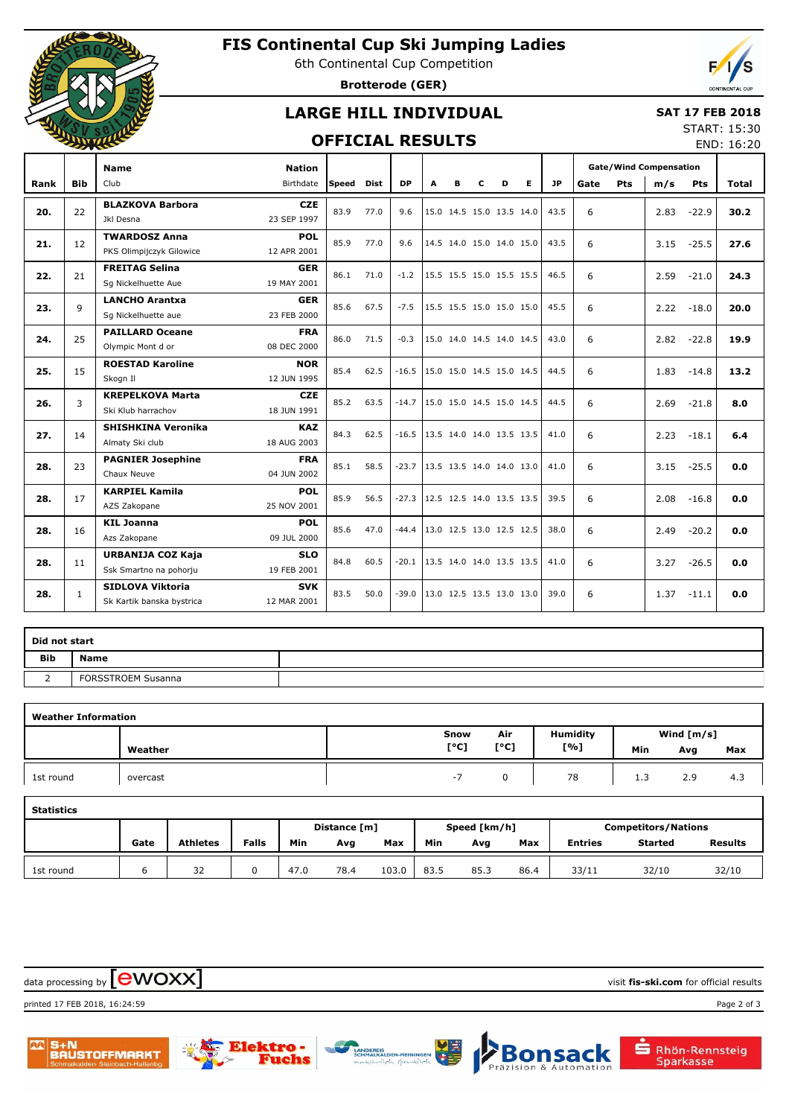

## **FIS Continental Cup Ski Jumping Ladies**

6th Continental Cup Competition

**Brotterode (GER)**

### **LARGE HILL INDIVIDUAL**

#### **SAT 17 FEB 2018**

#### **OFFICIAL RESULTS**

START: 15:30 END: 16:20

|      |              | <b>Name</b>                                          | <b>Nation</b>             |       |      |           |   |   |   |                          |   |           | <b>Gate/Wind Compensation</b> |     |      |            |              |
|------|--------------|------------------------------------------------------|---------------------------|-------|------|-----------|---|---|---|--------------------------|---|-----------|-------------------------------|-----|------|------------|--------------|
| Rank | <b>Bib</b>   | Club                                                 | Birthdate                 | Speed | Dist | <b>DP</b> | A | в | c | D                        | Е | <b>JP</b> | Gate                          | Pts | m/s  | <b>Pts</b> | <b>Total</b> |
| 20.  | 22           | <b>BLAZKOVA Barbora</b><br><b>Jkl Desna</b>          | <b>CZE</b><br>23 SEP 1997 | 83.9  | 77.0 | 9.6       |   |   |   | 15.0 14.5 15.0 13.5 14.0 |   | 43.5      | 6                             |     | 2.83 | $-22.9$    | 30.2         |
| 21.  | 12           | <b>TWARDOSZ Anna</b><br>PKS Olimpijczyk Gilowice     | <b>POL</b><br>12 APR 2001 | 85.9  | 77.0 | 9.6       |   |   |   | 14.5 14.0 15.0 14.0 15.0 |   | 43.5      | 6                             |     | 3.15 | $-25.5$    | 27.6         |
| 22.  | 21           | <b>FREITAG Selina</b><br>Sq Nickelhuette Aue         | <b>GER</b><br>19 MAY 2001 | 86.1  | 71.0 | $-1.2$    |   |   |   | 15.5 15.5 15.0 15.5 15.5 |   | 46.5      | 6                             |     | 2.59 | $-21.0$    | 24.3         |
| 23.  | $\mathsf{Q}$ | <b>LANCHO Arantxa</b><br>Sg Nickelhuette aue         | <b>GER</b><br>23 FEB 2000 | 85.6  | 67.5 | $-7.5$    |   |   |   | 15.5 15.5 15.0 15.0 15.0 |   | 45.5      | 6                             |     | 2.22 | $-18.0$    | 20.0         |
| 24.  | 25           | <b>PAILLARD Oceane</b><br>Olympic Mont d or          | <b>FRA</b><br>08 DEC 2000 | 86.0  | 71.5 | $-0.3$    |   |   |   | 15.0 14.0 14.5 14.0 14.5 |   | 43.0      | 6                             |     | 2.82 | $-22.8$    | 19.9         |
| 25.  | 15           | <b>ROESTAD Karoline</b><br>Skogn Il                  | <b>NOR</b><br>12 JUN 1995 | 85.4  | 62.5 | $-16.5$   |   |   |   | 15.0 15.0 14.5 15.0 14.5 |   | 44.5      | 6                             |     | 1.83 | $-14.8$    | 13.2         |
| 26.  | 3            | <b>KREPELKOVA Marta</b><br>Ski Klub harrachov        | <b>CZE</b><br>18 JUN 1991 | 85.2  | 63.5 | $-14.7$   |   |   |   | 15.0 15.0 14.5 15.0 14.5 |   | 44.5      | 6                             |     | 2.69 | $-21.8$    | 8.0          |
| 27.  | 14           | <b>SHISHKINA Veronika</b><br>Almaty Ski club         | <b>KAZ</b><br>18 AUG 2003 | 84.3  | 62.5 | $-16.5$   |   |   |   | 13.5 14.0 14.0 13.5 13.5 |   | 41.0      | 6                             |     | 2.23 | $-18.1$    | 6.4          |
| 28.  | 23           | <b>PAGNIER Josephine</b><br>Chaux Neuve              | <b>FRA</b><br>04 JUN 2002 | 85.1  | 58.5 | $-23.7$   |   |   |   | 13.5 13.5 14.0 14.0 13.0 |   | 41.0      | 6                             |     | 3.15 | $-25.5$    | 0.0          |
| 28.  | 17           | <b>KARPIEL Kamila</b><br>AZS Zakopane                | <b>POL</b><br>25 NOV 2001 | 85.9  | 56.5 | $-27.3$   |   |   |   | 12.5 12.5 14.0 13.5 13.5 |   | 39.5      | 6                             |     | 2.08 | $-16.8$    | 0.0          |
| 28.  | 16           | <b>KIL Joanna</b><br>Azs Zakopane                    | <b>POL</b><br>09 JUL 2000 | 85.6  | 47.0 | $-44.4$   |   |   |   | 13.0 12.5 13.0 12.5 12.5 |   | 38.0      | 6                             |     | 2.49 | $-20.2$    | 0.0          |
| 28.  | 11           | URBANIJA COZ Kaja<br>Ssk Smartno na pohorju          | <b>SLO</b><br>19 FEB 2001 | 84.8  | 60.5 | $-20.1$   |   |   |   | 13.5 14.0 14.0 13.5 13.5 |   | 41.0      | 6                             |     | 3.27 | $-26.5$    | 0.0          |
| 28.  | $\mathbf{1}$ | <b>SIDLOVA Viktoria</b><br>Sk Kartik banska bystrica | <b>SVK</b><br>12 MAR 2001 | 83.5  | 50.0 | $-39.0$   |   |   |   | 13.0 12.5 13.5 13.0 13.0 |   | 39.0      | 6                             |     | 1.37 | $-11.1$    | 0.0          |

| Did not start |                           |  |
|---------------|---------------------------|--|
| <b>Bib</b>    | Name                      |  |
|               | <b>FORSSTROEM Susanna</b> |  |

| <b>Weather Information</b> |          |      |      |                 |              |     |     |  |  |  |  |  |
|----------------------------|----------|------|------|-----------------|--------------|-----|-----|--|--|--|--|--|
|                            |          | Snow | Air  | <b>Humidity</b> | Wind $[m/s]$ |     |     |  |  |  |  |  |
|                            | Weather  | [°C] | [°C] | [%]             | Min          | Avg | Max |  |  |  |  |  |
| 1st round                  | overcast | - 1  |      | 78              | 1.3          | 2.9 | 4.3 |  |  |  |  |  |

| <b>Statistics</b> |              |                 |              |      |      |       |      |              |      |                            |                |                |  |  |
|-------------------|--------------|-----------------|--------------|------|------|-------|------|--------------|------|----------------------------|----------------|----------------|--|--|
|                   | Distance [m] |                 |              |      |      |       |      | Speed [km/h] |      | <b>Competitors/Nations</b> |                |                |  |  |
|                   | Gate         | <b>Athletes</b> | <b>Falls</b> | Min  | Avg  | Max   | Min  | Avg          | Max  | <b>Entries</b>             | <b>Started</b> | <b>Results</b> |  |  |
| 1st round         |              | 32              | 0            | 47.0 | 78.4 | 103.0 | 83.5 | 85.3         | 86.4 | 33/11                      | 32/10          | 32/10          |  |  |

 $\frac{1}{2}$  data processing by  $\boxed{\text{ewOX}}$ 

printed 17 FEB 2018, 16:24:59 Page 2 of 3





ehs